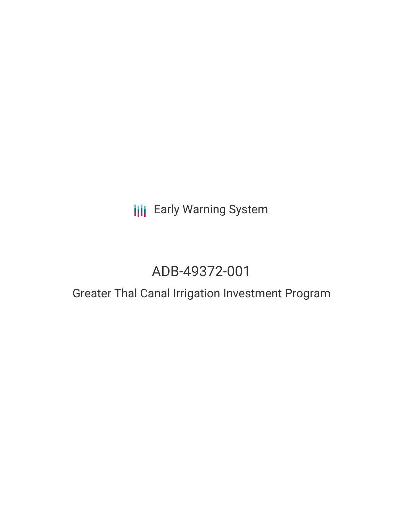**III** Early Warning System

# ADB-49372-001

## Greater Thal Canal Irrigation Investment Program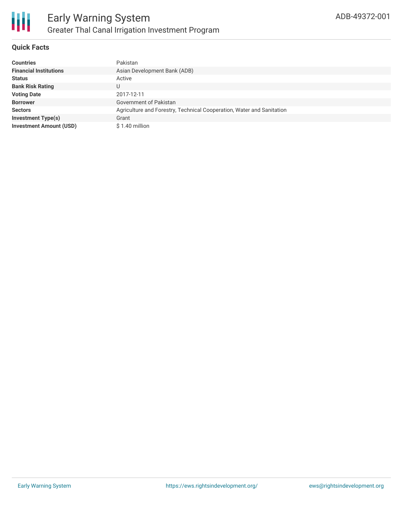

#### **Quick Facts**

| <b>Countries</b>               | Pakistan                                                              |
|--------------------------------|-----------------------------------------------------------------------|
| <b>Financial Institutions</b>  | Asian Development Bank (ADB)                                          |
| <b>Status</b>                  | Active                                                                |
| <b>Bank Risk Rating</b>        | U                                                                     |
| <b>Voting Date</b>             | 2017-12-11                                                            |
| <b>Borrower</b>                | Government of Pakistan                                                |
| <b>Sectors</b>                 | Agriculture and Forestry, Technical Cooperation, Water and Sanitation |
| <b>Investment Type(s)</b>      | Grant                                                                 |
| <b>Investment Amount (USD)</b> | \$1.40 million                                                        |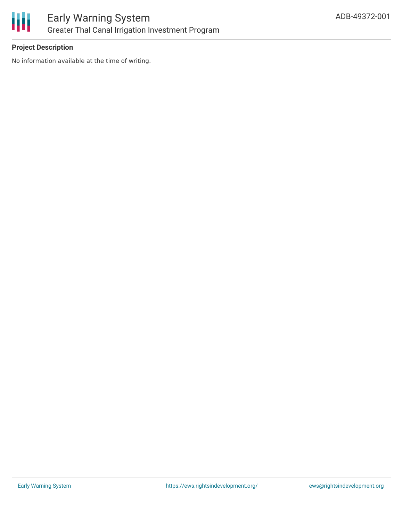

#### **Project Description**

No information available at the time of writing.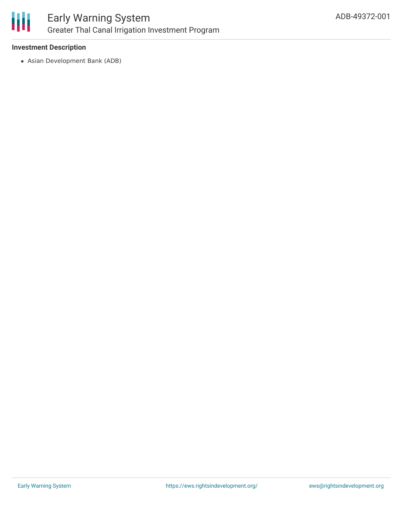

## Early Warning System Greater Thal Canal Irrigation Investment Program

#### **Investment Description**

Asian Development Bank (ADB)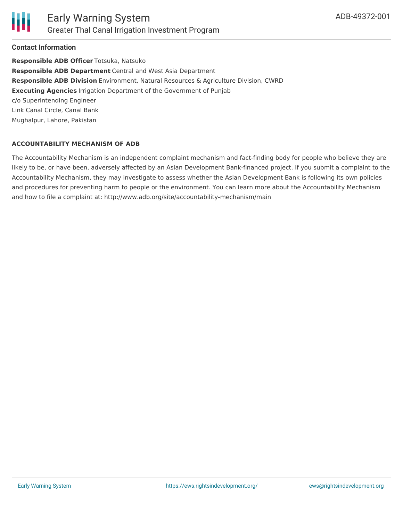

#### **Contact Information**

**Responsible ADB Officer** Totsuka, Natsuko **Responsible ADB Department** Central and West Asia Department **Responsible ADB Division** Environment, Natural Resources & Agriculture Division, CWRD **Executing Agencies** Irrigation Department of the Government of Punjab c/o Superintending Engineer Link Canal Circle, Canal Bank Mughalpur, Lahore, Pakistan

#### **ACCOUNTABILITY MECHANISM OF ADB**

The Accountability Mechanism is an independent complaint mechanism and fact-finding body for people who believe they are likely to be, or have been, adversely affected by an Asian Development Bank-financed project. If you submit a complaint to the Accountability Mechanism, they may investigate to assess whether the Asian Development Bank is following its own policies and procedures for preventing harm to people or the environment. You can learn more about the Accountability Mechanism and how to file a complaint at: http://www.adb.org/site/accountability-mechanism/main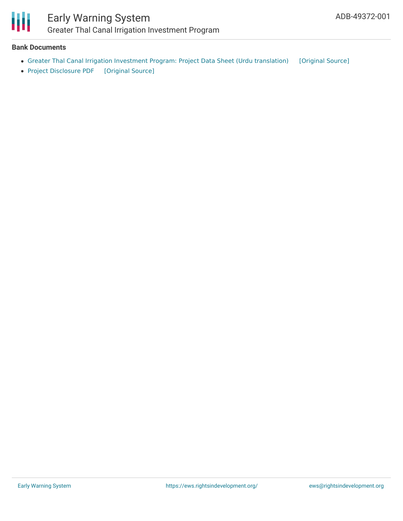

### Early Warning System Greater Thal Canal Irrigation Investment Program

#### **Bank Documents**

- Greater Thal Canal Irrigation Investment Program: Project Data Sheet (Urdu [translation\)](https://ewsdata.rightsindevelopment.org/files/documents/01/ADB-49372-001_uBDQead.pdf) [\[Original](https://www.adb.org/ur/projects/documents/pak-49372-001-pds) Source]
- Project [Disclosure](https://ewsdata.rightsindevelopment.org/files/documents/01/ADB-49372-001.pdf) PDF [\[Original](https://www.adb.org/printpdf/projects/49372-001/main) Source]